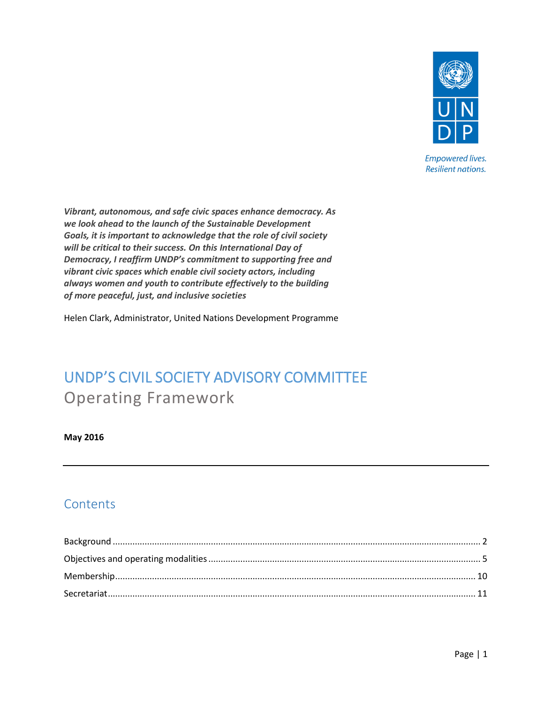

**Empowered lives. Resilient nations.** 

*Vibrant, autonomous, and safe civic spaces enhance democracy. As we look ahead to the launch of the Sustainable Development Goals, it is important to acknowledge that the role of civil society will be critical to their success. On this International Day of Democracy, I reaffirm UNDP's commitment to supporting free and vibrant civic spaces which enable civil society actors, including always women and youth to contribute effectively to the building of more peaceful, just, and inclusive societies*

Helen Clark, Administrator, United Nations Development Programme

# UNDP'S CIVIL SOCIETY ADVISORY COMMITTEE Operating Framework

**May 2016**

# **Contents**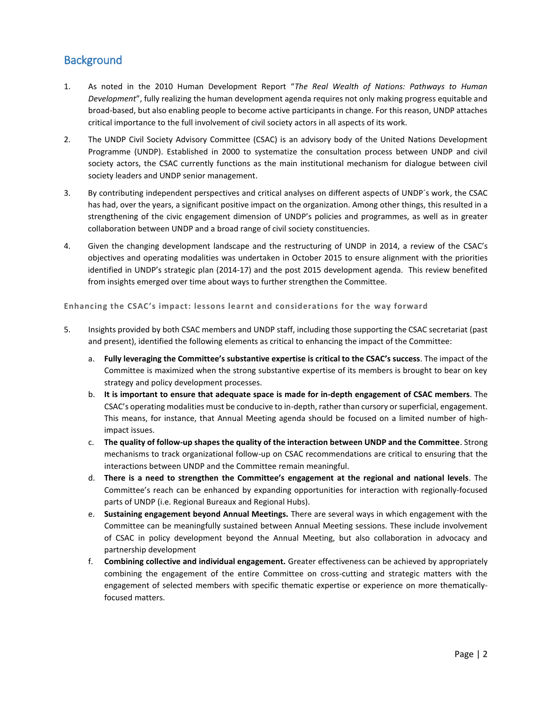# <span id="page-1-0"></span>**Background**

- 1. As noted in the 2010 Human Development Report "*The Real Wealth of Nations: Pathways to Human Development*", fully realizing the human development agenda requires not only making progress equitable and broad-based, but also enabling people to become active participants in change. For this reason, UNDP attaches critical importance to the full involvement of civil society actors in all aspects of its work.
- 2. The UNDP Civil Society Advisory Committee (CSAC) is an advisory body of the United Nations Development Programme (UNDP). Established in 2000 to systematize the consultation process between UNDP and civil society actors, the CSAC currently functions as the main institutional mechanism for dialogue between civil society leaders and UNDP senior management.
- 3. By contributing independent perspectives and critical analyses on different aspects of UNDP´s work, the CSAC has had, over the years, a significant positive impact on the organization. Among other things, this resulted in a strengthening of the civic engagement dimension of UNDP's policies and programmes, as well as in greater collaboration between UNDP and a broad range of civil society constituencies.
- 4. Given the changing development landscape and the restructuring of UNDP in 2014, a review of the CSAC's objectives and operating modalities was undertaken in October 2015 to ensure alignment with the priorities identified in UNDP's strategic plan (2014-17) and the post 2015 development agenda. This review benefited from insights emerged over time about ways to further strengthen the Committee.

**Enhancing the CSAC's impact: lessons learnt and considerations for the way forward**

- 5. Insights provided by both CSAC members and UNDP staff, including those supporting the CSAC secretariat (past and present), identified the following elements as critical to enhancing the impact of the Committee:
	- a. **Fully leveraging the Committee's substantive expertise is critical to the CSAC's success**. The impact of the Committee is maximized when the strong substantive expertise of its members is brought to bear on key strategy and policy development processes.
	- b. **It is important to ensure that adequate space is made for in-depth engagement of CSAC members**. The CSAC's operating modalities must be conducive to in-depth, rather than cursory or superficial, engagement. This means, for instance, that Annual Meeting agenda should be focused on a limited number of highimpact issues.
	- c. **The quality of follow-up shapes the quality of the interaction between UNDP and the Committee**. Strong mechanisms to track organizational follow-up on CSAC recommendations are critical to ensuring that the interactions between UNDP and the Committee remain meaningful.
	- d. **There is a need to strengthen the Committee's engagement at the regional and national levels**. The Committee's reach can be enhanced by expanding opportunities for interaction with regionally-focused parts of UNDP (i.e. Regional Bureaux and Regional Hubs).
	- e. **Sustaining engagement beyond Annual Meetings.** There are several ways in which engagement with the Committee can be meaningfully sustained between Annual Meeting sessions. These include involvement of CSAC in policy development beyond the Annual Meeting, but also collaboration in advocacy and partnership development
	- f. **Combining collective and individual engagement.** Greater effectiveness can be achieved by appropriately combining the engagement of the entire Committee on cross-cutting and strategic matters with the engagement of selected members with specific thematic expertise or experience on more thematicallyfocused matters.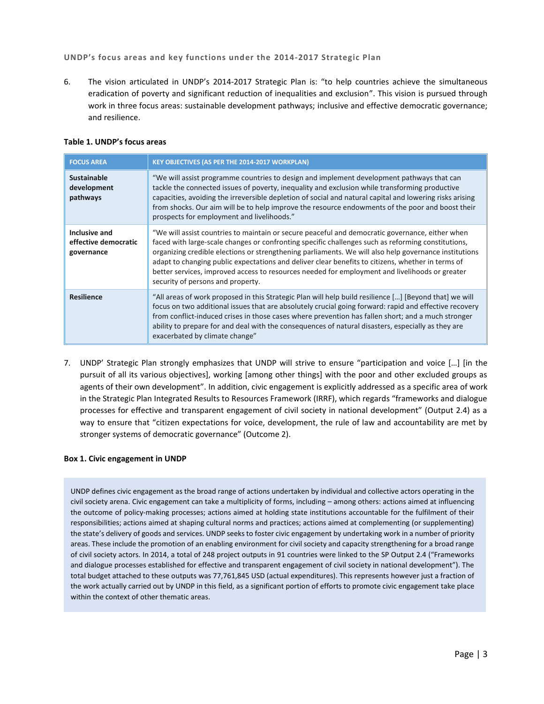# **UNDP's focus areas and key functions under the 2014-2017 Strategic Plan**

6. The vision articulated in UNDP's 2014-2017 Strategic Plan is: "to help countries achieve the simultaneous eradication of poverty and significant reduction of inequalities and exclusion". This vision is pursued through work in three focus areas: sustainable development pathways; inclusive and effective democratic governance; and resilience.

# **Table 1. UNDP's focus areas**

| <b>FOCUS AREA</b>                                   | <b>KEY OBJECTIVES (AS PER THE 2014-2017 WORKPLAN)</b>                                                                                                                                                                                                                                                                                                                                                                                                                                                                                                      |
|-----------------------------------------------------|------------------------------------------------------------------------------------------------------------------------------------------------------------------------------------------------------------------------------------------------------------------------------------------------------------------------------------------------------------------------------------------------------------------------------------------------------------------------------------------------------------------------------------------------------------|
| Sustainable<br>development<br>pathways              | "We will assist programme countries to design and implement development pathways that can<br>tackle the connected issues of poverty, inequality and exclusion while transforming productive<br>capacities, avoiding the irreversible depletion of social and natural capital and lowering risks arising<br>from shocks. Our aim will be to help improve the resource endowments of the poor and boost their<br>prospects for employment and livelihoods."                                                                                                  |
| Inclusive and<br>effective democratic<br>governance | "We will assist countries to maintain or secure peaceful and democratic governance, either when<br>faced with large-scale changes or confronting specific challenges such as reforming constitutions,<br>organizing credible elections or strengthening parliaments. We will also help governance institutions<br>adapt to changing public expectations and deliver clear benefits to citizens, whether in terms of<br>better services, improved access to resources needed for employment and livelihoods or greater<br>security of persons and property. |
| <b>Resilience</b>                                   | "All areas of work proposed in this Strategic Plan will help build resilience [] [Beyond that] we will<br>focus on two additional issues that are absolutely crucial going forward: rapid and effective recovery<br>from conflict-induced crises in those cases where prevention has fallen short; and a much stronger<br>ability to prepare for and deal with the consequences of natural disasters, especially as they are<br>exacerbated by climate change"                                                                                             |

7. UNDP' Strategic Plan strongly emphasizes that UNDP will strive to ensure "participation and voice […] [in the pursuit of all its various objectives], working [among other things] with the poor and other excluded groups as agents of their own development". In addition, civic engagement is explicitly addressed as a specific area of work in the Strategic Plan Integrated Results to Resources Framework (IRRF), which regards "frameworks and dialogue processes for effective and transparent engagement of civil society in national development" (Output 2.4) as a way to ensure that "citizen expectations for voice, development, the rule of law and accountability are met by stronger systems of democratic governance" (Outcome 2).

# **Box 1. Civic engagement in UNDP**

UNDP defines civic engagement as the broad range of actions undertaken by individual and collective actors operating in the civil society arena. Civic engagement can take a multiplicity of forms, including – among others: actions aimed at influencing the outcome of policy-making processes; actions aimed at holding state institutions accountable for the fulfilment of their responsibilities; actions aimed at shaping cultural norms and practices; actions aimed at complementing (or supplementing) the state's delivery of goods and services. UNDP seeks to foster civic engagement by undertaking work in a number of priority areas. These include the promotion of an enabling environment for civil society and capacity strengthening for a broad range of civil society actors. In 2014, a total of 248 project outputs in 91 countries were linked to the SP Output 2.4 ("Frameworks and dialogue processes established for effective and transparent engagement of civil society in national development"). The total budget attached to these outputs was 77,761,845 USD (actual expenditures). This represents however just a fraction of the work actually carried out by UNDP in this field, as a significant portion of efforts to promote civic engagement take place within the context of other thematic areas.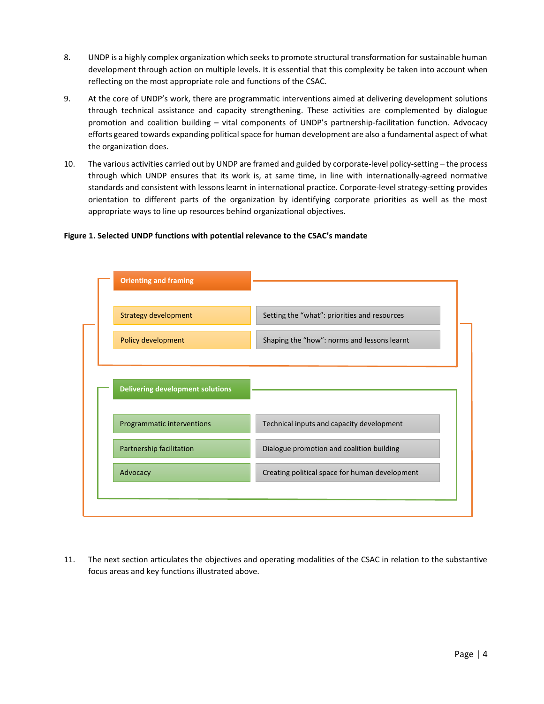- 8. UNDP is a highly complex organization which seeks to promote structural transformation for sustainable human development through action on multiple levels. It is essential that this complexity be taken into account when reflecting on the most appropriate role and functions of the CSAC.
- 9. At the core of UNDP's work, there are programmatic interventions aimed at delivering development solutions through technical assistance and capacity strengthening. These activities are complemented by dialogue promotion and coalition building – vital components of UNDP's partnership-facilitation function. Advocacy efforts geared towards expanding political space for human development are also a fundamental aspect of what the organization does.
- 10. The various activities carried out by UNDP are framed and guided by corporate-level policy-setting the process through which UNDP ensures that its work is, at same time, in line with internationally-agreed normative standards and consistent with lessons learnt in international practice. Corporate-level strategy-setting provides orientation to different parts of the organization by identifying corporate priorities as well as the most appropriate ways to line up resources behind organizational objectives.

# **Figure 1. Selected UNDP functions with potential relevance to the CSAC's mandate**



11. The next section articulates the objectives and operating modalities of the CSAC in relation to the substantive focus areas and key functions illustrated above.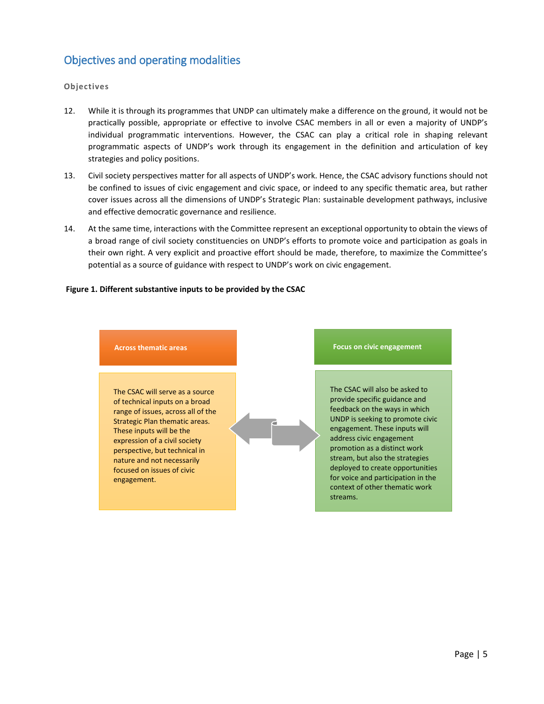# <span id="page-4-0"></span>Objectives and operating modalities

# **Objectives**

- 12. While it is through its programmes that UNDP can ultimately make a difference on the ground, it would not be practically possible, appropriate or effective to involve CSAC members in all or even a majority of UNDP's individual programmatic interventions. However, the CSAC can play a critical role in shaping relevant programmatic aspects of UNDP's work through its engagement in the definition and articulation of key strategies and policy positions.
- 13. Civil society perspectives matter for all aspects of UNDP's work. Hence, the CSAC advisory functions should not be confined to issues of civic engagement and civic space, or indeed to any specific thematic area, but rather cover issues across all the dimensions of UNDP's Strategic Plan: sustainable development pathways, inclusive and effective democratic governance and resilience.
- 14. At the same time, interactions with the Committee represent an exceptional opportunity to obtain the views of a broad range of civil society constituencies on UNDP's efforts to promote voice and participation as goals in their own right. A very explicit and proactive effort should be made, therefore, to maximize the Committee's potential as a source of guidance with respect to UNDP's work on civic engagement.

# **Figure 1. Different substantive inputs to be provided by the CSAC**

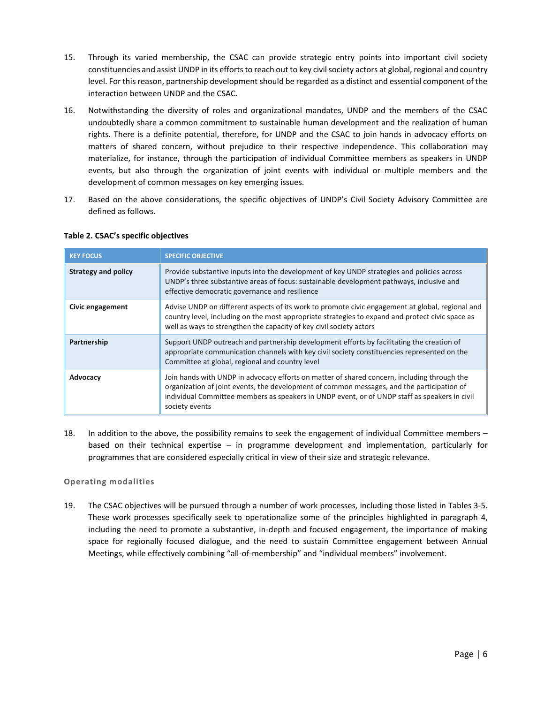- 15. Through its varied membership, the CSAC can provide strategic entry points into important civil society constituencies and assist UNDP in its efforts to reach out to key civil society actors at global, regional and country level. For this reason, partnership development should be regarded as a distinct and essential component of the interaction between UNDP and the CSAC.
- 16. Notwithstanding the diversity of roles and organizational mandates, UNDP and the members of the CSAC undoubtedly share a common commitment to sustainable human development and the realization of human rights. There is a definite potential, therefore, for UNDP and the CSAC to join hands in advocacy efforts on matters of shared concern, without prejudice to their respective independence. This collaboration may materialize, for instance, through the participation of individual Committee members as speakers in UNDP events, but also through the organization of joint events with individual or multiple members and the development of common messages on key emerging issues.
- 17. Based on the above considerations, the specific objectives of UNDP's Civil Society Advisory Committee are defined as follows.

| <b>KEY FOCUS</b>           | <b>SPECIFIC OBJECTIVE</b>                                                                                                                                                                                                                                                                                    |
|----------------------------|--------------------------------------------------------------------------------------------------------------------------------------------------------------------------------------------------------------------------------------------------------------------------------------------------------------|
| <b>Strategy and policy</b> | Provide substantive inputs into the development of key UNDP strategies and policies across<br>UNDP's three substantive areas of focus: sustainable development pathways, inclusive and<br>effective democratic governance and resilience                                                                     |
| Civic engagement           | Advise UNDP on different aspects of its work to promote civic engagement at global, regional and<br>country level, including on the most appropriate strategies to expand and protect civic space as<br>well as ways to strengthen the capacity of key civil society actors                                  |
| Partnership                | Support UNDP outreach and partnership development efforts by facilitating the creation of<br>appropriate communication channels with key civil society constituencies represented on the<br>Committee at global, regional and country level                                                                  |
| Advocacy                   | Join hands with UNDP in advocacy efforts on matter of shared concern, including through the<br>organization of joint events, the development of common messages, and the participation of<br>individual Committee members as speakers in UNDP event, or of UNDP staff as speakers in civil<br>society events |

# **Table 2. CSAC's specific objectives**

18. In addition to the above, the possibility remains to seek the engagement of individual Committee members – based on their technical expertise – in programme development and implementation, particularly for programmes that are considered especially critical in view of their size and strategic relevance.

# **Operating modalities**

19. The CSAC objectives will be pursued through a number of work processes, including those listed in Tables 3-5. These work processes specifically seek to operationalize some of the principles highlighted in paragraph 4, including the need to promote a substantive, in-depth and focused engagement, the importance of making space for regionally focused dialogue, and the need to sustain Committee engagement between Annual Meetings, while effectively combining "all-of-membership" and "individual members" involvement.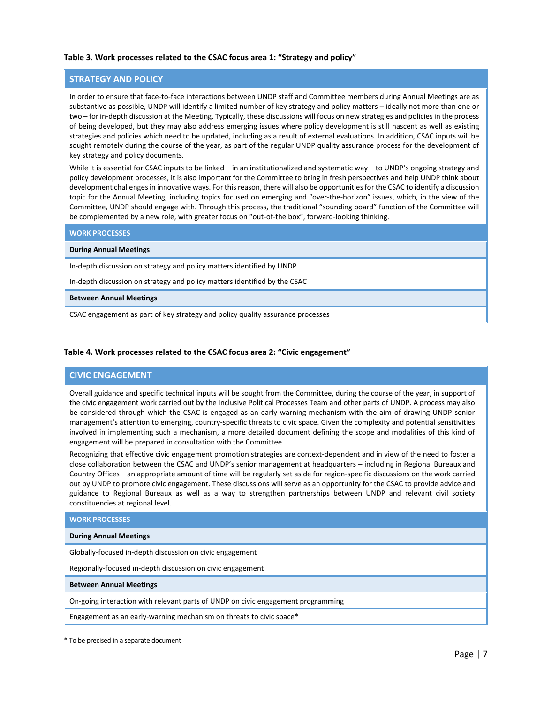### **Table 3. Work processes related to the CSAC focus area 1: "Strategy and policy"**

### **STRATEGY AND POLICY**

In order to ensure that face-to-face interactions between UNDP staff and Committee members during Annual Meetings are as substantive as possible, UNDP will identify a limited number of key strategy and policy matters – ideally not more than one or two – for in-depth discussion at the Meeting. Typically, these discussions will focus on new strategies and policies in the process of being developed, but they may also address emerging issues where policy development is still nascent as well as existing strategies and policies which need to be updated, including as a result of external evaluations. In addition, CSAC inputs will be sought remotely during the course of the year, as part of the regular UNDP quality assurance process for the development of key strategy and policy documents.

While it is essential for CSAC inputs to be linked – in an institutionalized and systematic way – to UNDP's ongoing strategy and policy development processes, it is also important for the Committee to bring in fresh perspectives and help UNDP think about development challengesin innovative ways. For this reason, there will also be opportunities for the CSAC to identify a discussion topic for the Annual Meeting, including topics focused on emerging and "over-the-horizon" issues, which, in the view of the Committee, UNDP should engage with. Through this process, the traditional "sounding board" function of the Committee will be complemented by a new role, with greater focus on "out-of-the box", forward-looking thinking.

#### **WORK PROCESSES**

#### **During Annual Meetings**

In-depth discussion on strategy and policy matters identified by UNDP

In-depth discussion on strategy and policy matters identified by the CSAC

#### **Between Annual Meetings**

CSAC engagement as part of key strategy and policy quality assurance processes

#### **Table 4. Work processes related to the CSAC focus area 2: "Civic engagement"**

# **CIVIC ENGAGEMENT**

Overall guidance and specific technical inputs will be sought from the Committee, during the course of the year, in support of the civic engagement work carried out by the Inclusive Political Processes Team and other parts of UNDP. A process may also be considered through which the CSAC is engaged as an early warning mechanism with the aim of drawing UNDP senior management's attention to emerging, country-specific threats to civic space. Given the complexity and potential sensitivities involved in implementing such a mechanism, a more detailed document defining the scope and modalities of this kind of engagement will be prepared in consultation with the Committee.

Recognizing that effective civic engagement promotion strategies are context-dependent and in view of the need to foster a close collaboration between the CSAC and UNDP's senior management at headquarters – including in Regional Bureaux and Country Offices – an appropriate amount of time will be regularly set aside for region-specific discussions on the work carried out by UNDP to promote civic engagement. These discussions will serve as an opportunity for the CSAC to provide advice and guidance to Regional Bureaux as well as a way to strengthen partnerships between UNDP and relevant civil society constituencies at regional level.

#### **WORK PROCESSES**

#### **During Annual Meetings**

Globally-focused in-depth discussion on civic engagement

Regionally-focused in-depth discussion on civic engagement

#### **Between Annual Meetings**

On-going interaction with relevant parts of UNDP on civic engagement programming

Engagement as an early-warning mechanism on threats to civic space\*

\* To be precised in a separate document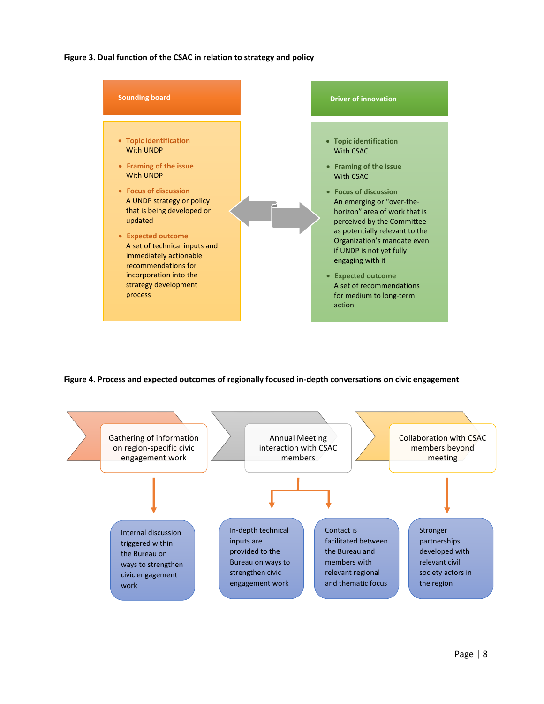**Figure 3. Dual function of the CSAC in relation to strategy and policy**



**Figure 4. Process and expected outcomes of regionally focused in-depth conversations on civic engagement**

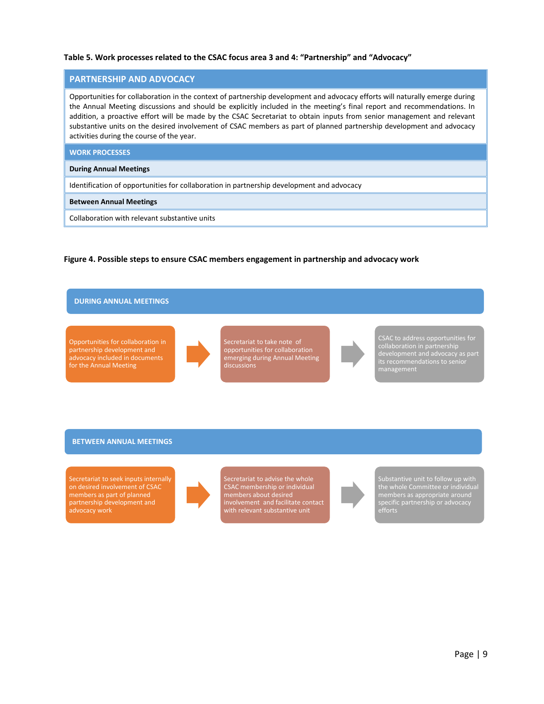### **Table 5. Work processes related to the CSAC focus area 3 and 4: "Partnership" and "Advocacy"**

### **PARTNERSHIP AND ADVOCACY**

Opportunities for collaboration in the context of partnership development and advocacy efforts will naturally emerge during the Annual Meeting discussions and should be explicitly included in the meeting's final report and recommendations. In addition, a proactive effort will be made by the CSAC Secretariat to obtain inputs from senior management and relevant substantive units on the desired involvement of CSAC members as part of planned partnership development and advocacy activities during the course of the year.

#### **WORK PROCESSES**

#### **During Annual Meetings**

Identification of opportunities for collaboration in partnership development and advocacy

#### **Between Annual Meetings**

Collaboration with relevant substantive units

**Figure 4. Possible steps to ensure CSAC members engagement in partnership and advocacy work**

# **DURING ANNUAL MEETINGS**

Opportunities for collaboration in partnership development and advocacy included in documents for the Annual Meeting



Secretariat to take note of opportunities for collaboration emerging during Annual Meeting discussions



CSAC to address opportunities for collaboration in partnership its recommendations to senior management

#### **BETWEEN ANNUAL MEETINGS**

Secretariat to seek inputs internally on desired involvement of CSAC members as part of planned partnership development and advocacy work



Secretariat to advise the whole CSAC membership or individual members about desired involvement and facilitate contact with relevant substantive unit



Substantive unit to follow up with the whole Committee or individual members as appropriate around efforts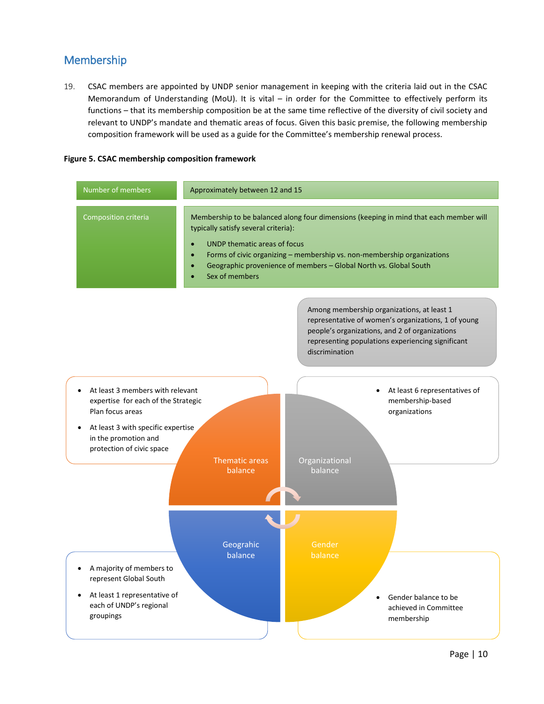# <span id="page-9-0"></span>Membership

19. CSAC members are appointed by UNDP senior management in keeping with the criteria laid out in the CSAC Memorandum of Understanding (MoU). It is vital – in order for the Committee to effectively perform its functions – that its membership composition be at the same time reflective of the diversity of civil society and relevant to UNDP's mandate and thematic areas of focus. Given this basic premise, the following membership composition framework will be used as a guide for the Committee's membership renewal process.

# **Figure 5. CSAC membership composition framework**